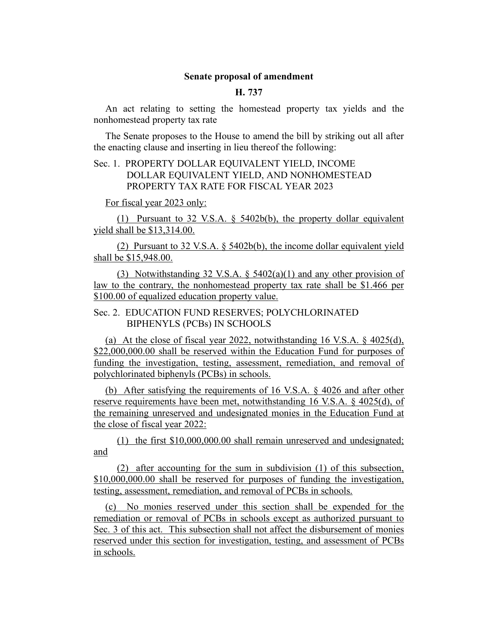### **Senate proposal of amendment**

#### **H. 737**

An act relating to setting the homestead property tax yields and the nonhomestead property tax rate

The Senate proposes to the House to amend the bill by striking out all after the enacting clause and inserting in lieu thereof the following:

# Sec. 1. PROPERTY DOLLAR EQUIVALENT YIELD, INCOME DOLLAR EQUIVALENT YIELD, AND NONHOMESTEAD PROPERTY TAX RATE FOR FISCAL YEAR 2023

For fiscal year 2023 only:

(1) Pursuant to 32 V.S.A. § 5402b(b), the property dollar equivalent yield shall be \$13,314.00.

(2) Pursuant to 32 V.S.A. § 5402b(b), the income dollar equivalent yield shall be \$15,948.00.

(3) Notwithstanding 32 V.S.A.  $\S$  5402(a)(1) and any other provision of law to the contrary, the nonhomestead property tax rate shall be \$1.466 per \$100.00 of equalized education property value.

# Sec. 2. EDUCATION FUND RESERVES; POLYCHLORINATED BIPHENYLS (PCBs) IN SCHOOLS

(a) At the close of fiscal year 2022, notwithstanding 16 V.S.A. § 4025(d), \$22,000,000.00 shall be reserved within the Education Fund for purposes of funding the investigation, testing, assessment, remediation, and removal of polychlorinated biphenyls (PCBs) in schools.

(b) After satisfying the requirements of 16 V.S.A. § 4026 and after other reserve requirements have been met, notwithstanding 16 V.S.A. § 4025(d), of the remaining unreserved and undesignated monies in the Education Fund at the close of fiscal year 2022:

(1) the first \$10,000,000.00 shall remain unreserved and undesignated; and

(2) after accounting for the sum in subdivision (1) of this subsection, \$10,000,000.00 shall be reserved for purposes of funding the investigation, testing, assessment, remediation, and removal of PCBs in schools.

(c) No monies reserved under this section shall be expended for the remediation or removal of PCBs in schools except as authorized pursuant to Sec. 3 of this act. This subsection shall not affect the disbursement of monies reserved under this section for investigation, testing, and assessment of PCBs in schools.